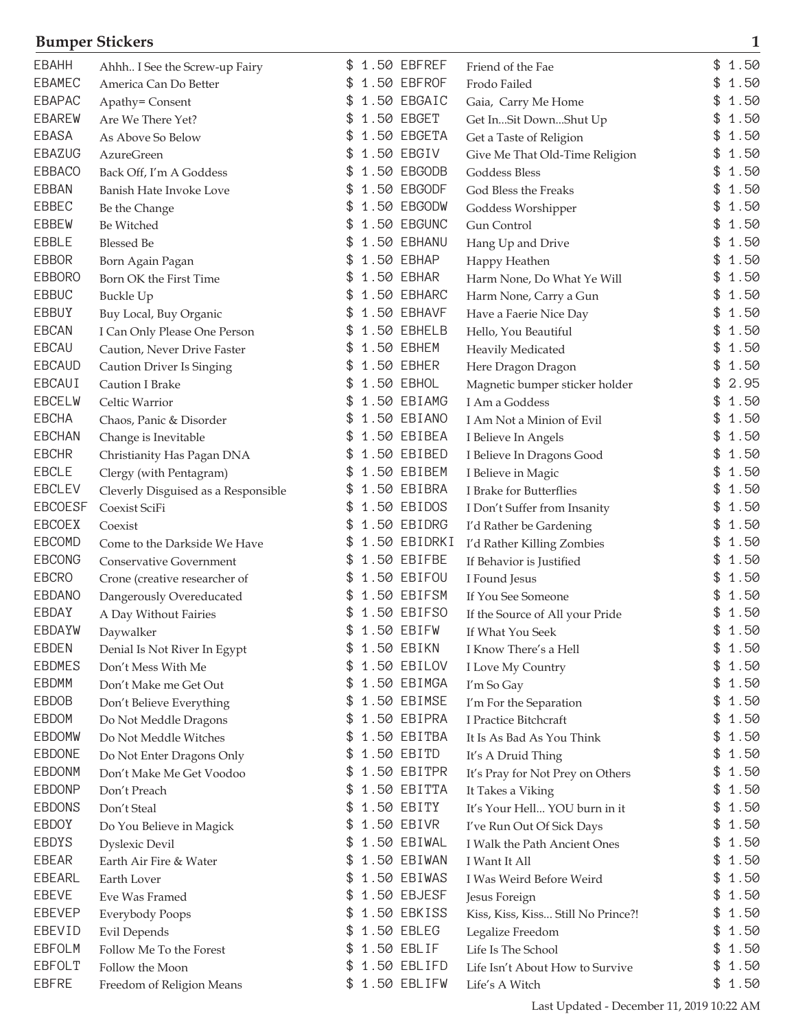## **Bumper Stickers 1**

| <b>EBAHH</b>   | Ahhh I See the Screw-up Fairy       |    | 1.50 EBFREF  | Friend of the Fae                  | \$<br>1.50 |
|----------------|-------------------------------------|----|--------------|------------------------------------|------------|
| <b>EBAMEC</b>  | America Can Do Better               |    | 1.50 EBFROF  | Frodo Failed                       | 1.50       |
| <b>EBAPAC</b>  | Apathy= Consent                     | \$ | 1.50 EBGAIC  | Gaia, Carry Me Home                | 1.50       |
| <b>EBAREW</b>  | Are We There Yet?                   | \$ | 1.50 EBGET   | Get InSit DownShut Up              | 1.50       |
| <b>EBASA</b>   | As Above So Below                   | \$ | 1.50 EBGETA  | Get a Taste of Religion            | 1.50       |
| EBAZUG         | <b>AzureGreen</b>                   | \$ | 1.50 EBGIV   | Give Me That Old-Time Religion     | 1.50       |
| <b>EBBACO</b>  | Back Off, I'm A Goddess             |    | 1.50 EBGODB  | Goddess Bless                      | 1.50       |
| <b>EBBAN</b>   | Banish Hate Invoke Love             |    | 1.50 EBGODF  | God Bless the Freaks               | 1.50       |
| EBBEC          | Be the Change                       |    | 1.50 EBGODW  | Goddess Worshipper                 | 1.50       |
| <b>EBBEW</b>   | Be Witched                          | S  | 1.50 EBGUNC  | Gun Control                        | 1.50       |
| EBBLE          | <b>Blessed Be</b>                   |    | 1.50 EBHANU  | Hang Up and Drive                  | 1.50       |
| <b>EBBOR</b>   | Born Again Pagan                    | \$ | 1.50 EBHAP   | Happy Heathen                      | 1.50<br>\$ |
| <b>EBBORO</b>  | Born OK the First Time              |    | 1.50 EBHAR   | Harm None, Do What Ye Will         | 1.50       |
| <b>EBBUC</b>   | Buckle Up                           | S  | 1.50 EBHARC  | Harm None, Carry a Gun             | 1.50       |
| EBBUY          | Buy Local, Buy Organic              |    | 1.50 EBHAVF  | Have a Faerie Nice Day             | 1.50       |
| <b>EBCAN</b>   | I Can Only Please One Person        |    | 1.50 EBHELB  | Hello, You Beautiful               | 1.50       |
| EBCAU          | Caution, Never Drive Faster         |    | 1.50 EBHEM   | Heavily Medicated                  | 1.50       |
| <b>EBCAUD</b>  | Caution Driver Is Singing           | \$ | 1.50 EBHER   | Here Dragon Dragon                 | 1.50       |
| EBCAUI         | Caution I Brake                     | \$ | 1.50 EBHOL   | Magnetic bumper sticker holder     | 2.95<br>\$ |
| EBCELW         | Celtic Warrior                      | \$ | 1.50 EBIAMG  | I Am a Goddess                     | 1.50       |
| <b>EBCHA</b>   | Chaos, Panic & Disorder             |    | 1.50 EBIANO  | I Am Not a Minion of Evil          | 1.50       |
| <b>EBCHAN</b>  | Change is Inevitable                |    | 1.50 EBIBEA  | I Believe In Angels                | 1.50       |
| <b>EBCHR</b>   | Christianity Has Pagan DNA          |    | 1.50 EBIBED  | I Believe In Dragons Good          | 1.50       |
| <b>EBCLE</b>   | Clergy (with Pentagram)             |    | 1.50 EBIBEM  | I Believe in Magic                 | 1.50       |
| <b>EBCLEV</b>  | Cleverly Disguised as a Responsible | \$ | 1.50 EBIBRA  | I Brake for Butterflies            | 1.50       |
| <b>EBCOESF</b> | Coexist SciFi                       | \$ | 1.50 EBIDOS  | I Don't Suffer from Insanity       | 1.50       |
| EBCOEX         | Coexist                             | \$ | 1.50 EBIDRG  | I'd Rather be Gardening            | 1.50<br>\$ |
| EBCOMD         | Come to the Darkside We Have        |    | 1.50 EBIDRKI | I'd Rather Killing Zombies         | 1.50       |
| <b>EBCONG</b>  | Conservative Government             | S  | 1.50 EBIFBE  | If Behavior is Justified           | 1.50       |
| <b>EBCRO</b>   | Crone (creative researcher of       |    | 1.50 EBIFOU  | I Found Jesus                      | 1.50       |
| <b>EBDANO</b>  | Dangerously Overeducated            |    | 1.50 EBIFSM  | If You See Someone                 | 1.50       |
| EBDAY          | A Day Without Fairies               |    | 1.50 EBIFSO  | If the Source of All your Pride    | 1.50       |
| EBDAYW         | Daywalker                           | \$ | 1.50 EBIFW   | If What You Seek                   | 1.50<br>\$ |
| EBDEN          | Denial Is Not River In Egypt        | \$ | 1.50 EBIKN   | I Know There's a Hell              | \$<br>1.50 |
| <b>EBDMES</b>  | Don't Mess With Me                  |    | 1.50 EBILOV  | I Love My Country                  | 1.50       |
| <b>EBDMM</b>   | Don't Make me Get Out               | \$ | 1.50 EBIMGA  | I'm So Gay                         | \$<br>1.50 |
| EBDOB          | Don't Believe Everything            | \$ | 1.50 EBIMSE  | I'm For the Separation             | 1.50<br>\$ |
| EBDOM          | Do Not Meddle Dragons               | \$ | 1.50 EBIPRA  | I Practice Bitchcraft              | 1.50<br>\$ |
| <b>EBDOMW</b>  | Do Not Meddle Witches               | \$ | 1.50 EBITBA  | It Is As Bad As You Think          | \$<br>1.50 |
| <b>EBDONE</b>  | Do Not Enter Dragons Only           | P. | 1.50 EBITD   | It's A Druid Thing                 | 1.50<br>\$ |
| <b>EBDONM</b>  | Don't Make Me Get Voodoo            | \$ | 1.50 EBITPR  | It's Pray for Not Prey on Others   | 1.50<br>\$ |
| <b>EBDONP</b>  | Don't Preach                        | \$ | 1.50 EBITTA  | It Takes a Viking                  | 1.50<br>\$ |
| <b>EBDONS</b>  | Don't Steal                         | \$ | 1.50 EBITY   | It's Your Hell YOU burn in it      | 1.50       |
| EBDOY          |                                     | £. | 1.50 EBIVR   |                                    | 1.50<br>\$ |
| EBDYS          | Do You Believe in Magick            | \$ | 1.50 EBIWAL  | I've Run Out Of Sick Days          | 1.50<br>\$ |
| <b>EBEAR</b>   | <b>Dyslexic Devil</b>               | \$ | 1.50 EBIWAN  | I Walk the Path Ancient Ones       | 1.50<br>\$ |
| <b>EBEARL</b>  | Earth Air Fire & Water              | \$ | 1.50 EBIWAS  | I Want It All                      | 1.50<br>\$ |
| EBEVE          | Earth Lover                         | £. | 1.50 EBJESF  | I Was Weird Before Weird           | 1.50<br>\$ |
| <b>EBEVEP</b>  | Eve Was Framed                      |    | 1.50 EBKISS  | Jesus Foreign                      | 1.50       |
| EBEVID         | <b>Everybody Poops</b>              | \$ | 1.50 EBLEG   | Kiss, Kiss, Kiss Still No Prince?! |            |
|                | Evil Depends                        |    |              | Legalize Freedom                   | 1.50       |
| <b>EBFOLM</b>  | Follow Me To the Forest             | \$ | 1.50 EBLIF   | Life Is The School                 | \$<br>1.50 |
| <b>EBFOLT</b>  | Follow the Moon                     | \$ | 1.50 EBLIFD  | Life Isn't About How to Survive    | 1.50<br>\$ |
| <b>EBFRE</b>   | Freedom of Religion Means           |    | 1.50 EBLIFW  | Life's A Witch                     | \$<br>1.50 |